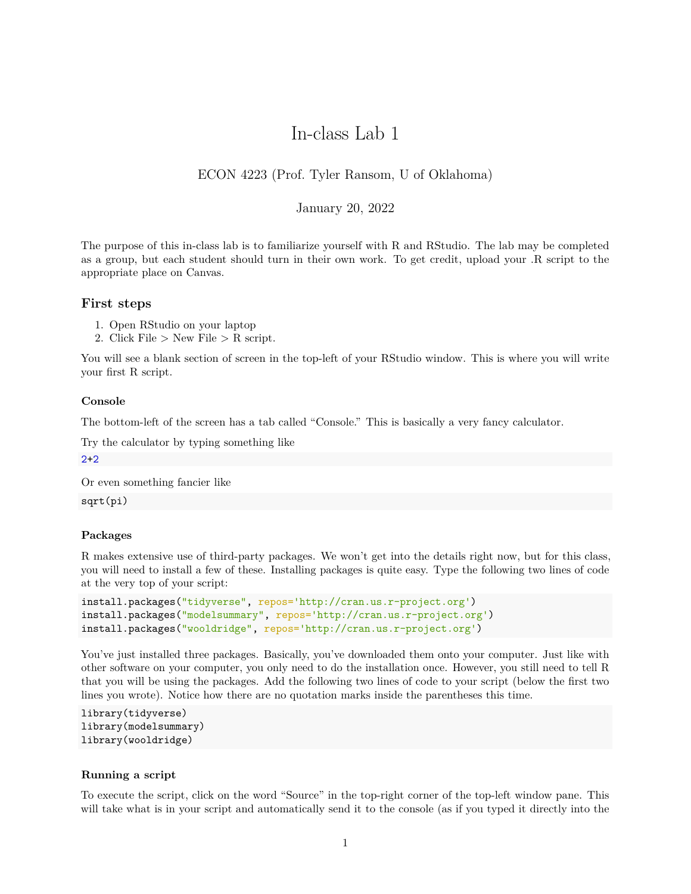# In-class Lab 1

# ECON 4223 (Prof. Tyler Ransom, U of Oklahoma)

# January 20, 2022

The purpose of this in-class lab is to familiarize yourself with R and RStudio. The lab may be completed as a group, but each student should turn in their own work. To get credit, upload your .R script to the appropriate place on Canvas.

# **First steps**

- 1. Open RStudio on your laptop
- 2. Click File  $>$  New File  $>$  R script.

You will see a blank section of screen in the top-left of your RStudio window. This is where you will write your first R script.

#### **Console**

The bottom-left of the screen has a tab called "Console." This is basically a very fancy calculator.

Try the calculator by typing something like

2+2

Or even something fancier like

sqrt(pi)

#### **Packages**

R makes extensive use of third-party packages. We won't get into the details right now, but for this class, you will need to install a few of these. Installing packages is quite easy. Type the following two lines of code at the very top of your script:

```
install.packages("tidyverse", repos='http://cran.us.r-project.org')
install.packages("modelsummary", repos='http://cran.us.r-project.org')
install.packages("wooldridge", repos='http://cran.us.r-project.org')
```
You've just installed three packages. Basically, you've downloaded them onto your computer. Just like with other software on your computer, you only need to do the installation once. However, you still need to tell R that you will be using the packages. Add the following two lines of code to your script (below the first two lines you wrote). Notice how there are no quotation marks inside the parentheses this time.

```
library(tidyverse)
library(modelsummary)
library(wooldridge)
```
### **Running a script**

To execute the script, click on the word "Source" in the top-right corner of the top-left window pane. This will take what is in your script and automatically send it to the console (as if you typed it directly into the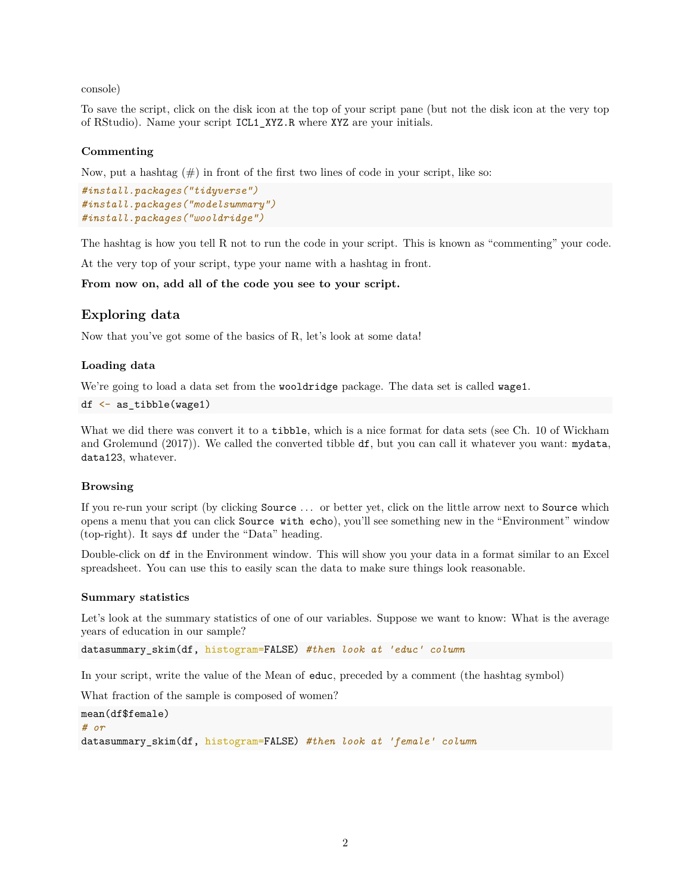console)

To save the script, click on the disk icon at the top of your script pane (but not the disk icon at the very top of RStudio). Name your script ICL1\_XYZ.R where XYZ are your initials.

# **Commenting**

Now, put a hashtag  $(\#)$  in front of the first two lines of code in your script, like so:

```
#install.packages("tidyverse")
#install.packages("modelsummary")
#install.packages("wooldridge")
```
The hashtag is how you tell R not to run the code in your script. This is known as "commenting" your code.

At the very top of your script, type your name with a hashtag in front.

**From now on, add all of the code you see to your script.**

# **Exploring data**

Now that you've got some of the basics of R, let's look at some data!

# **Loading data**

We're going to load a data set from the wooldridge package. The data set is called wage1.

```
df <- as_tibble(wage1)
```
What we did there was convert it to a tibble, which is a nice format for data sets (see Ch. 10 of Wickham and Grolemund (2017)). We called the converted tibble df, but you can call it whatever you want: mydata, data123, whatever.

# **Browsing**

If you re-run your script (by clicking Source . . . or better yet, click on the little arrow next to Source which opens a menu that you can click Source with echo), you'll see something new in the "Environment" window (top-right). It says df under the "Data" heading.

Double-click on df in the Environment window. This will show you your data in a format similar to an Excel spreadsheet. You can use this to easily scan the data to make sure things look reasonable.

#### **Summary statistics**

Let's look at the summary statistics of one of our variables. Suppose we want to know: What is the average years of education in our sample?

datasummary\_skim(df, histogram=FALSE) *#then look at 'educ' column*

In your script, write the value of the Mean of educ, preceded by a comment (the hashtag symbol)

What fraction of the sample is composed of women?

```
mean(df$female)
# or
datasummary_skim(df, histogram=FALSE) #then look at 'female' column
```